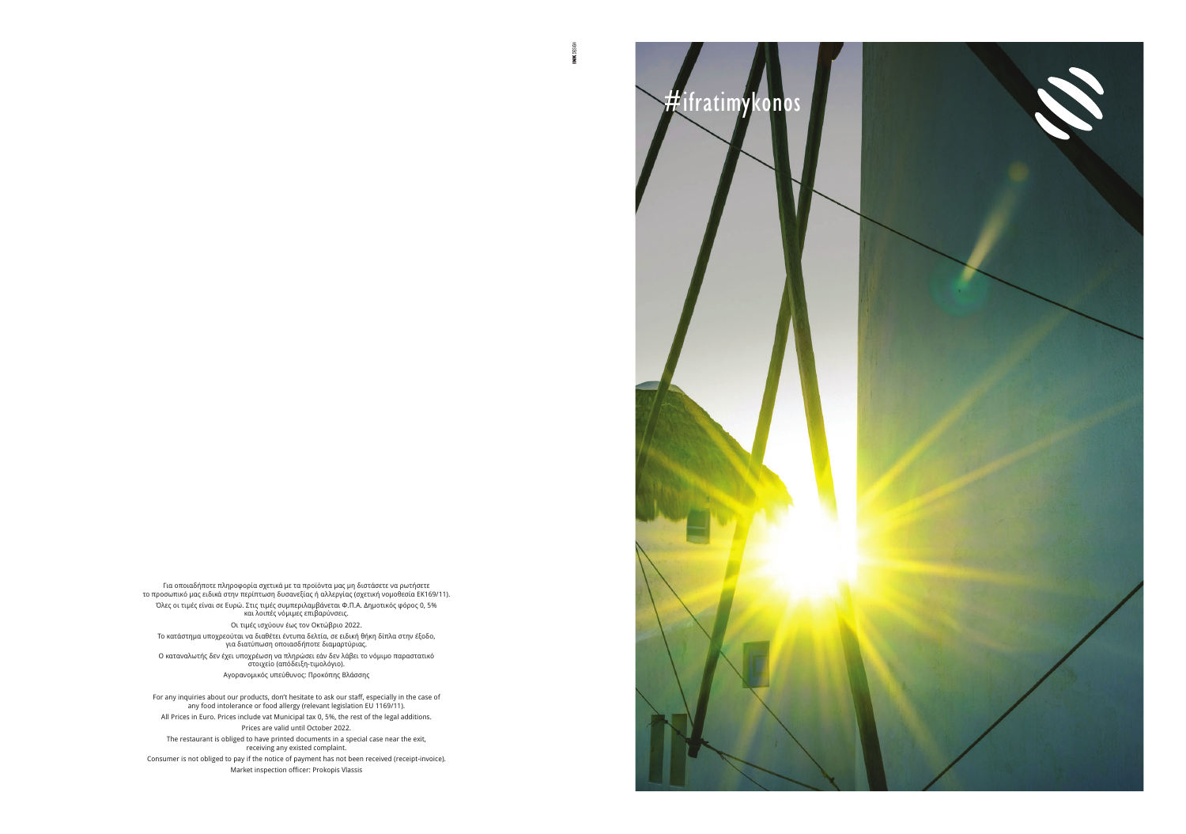Για οποιαδήποτε πληροφορία σχετικά με τα προϊόντα μας μη διστάσετε να ρωτήσετε το προσωπικό μας ειδικά στην περίπτωση δυσανεξίας ή αλλεργίας (σχετική νομοθεσία ΕΚ169/11). Όλες οι τιμές είναι σε Ευρώ. Στις τιμές συμπεριλαμβάνεται Φ.Π.Α. Δημοτικός φόρος 0, 5% και λοιπές νόμιμες επιβαρύνσεις. Οι τιμές ισχύουν έως τον Οκτώβριο 2022. Tο κατάστημα υποχρεούται να διαθέτει έντυπα δελτία, σε ειδική θήκη δίπλα στην έξοδο, για διατύπωση οποιασδήποτε διαμαρτύριας. Ο καταναλωτής δεν έχει υποχρέωση να πληρώσει εάν δεν λάβει το νόμιμο παραστατικό στοιχείο (απόδειξη-τιμολόγιο).

Consumer is not obliged to pay if the notice of payment has not been received (receipt-invoice). Market inspection officer: Prokopis Vlassis

Aγορανομικός υπεύθυνος: Προκόπης Βλάσσης

For any inquiries about our products, don't hesitate to ask our staff, especially in the case of any food intolerance or food allergy (relevant legislation EU 1169/11). All Prices in Euro. Prices include vat Μunicipal tax 0, 5%, the rest of the legal additions. Prices are valid until October 2022.

The restaurant is obliged to have printed documents in a special case near the exit, receiving any existed complaint.



**INK** DESIGN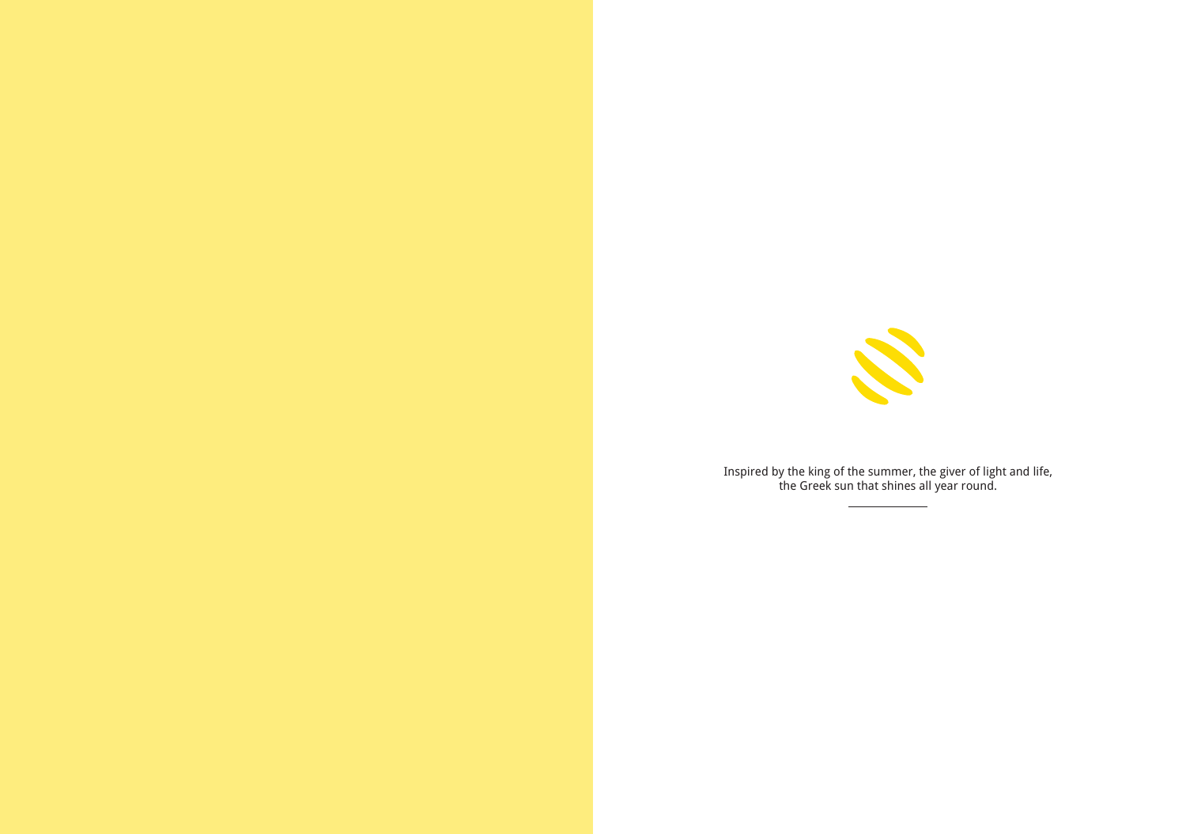

Inspired by the king of the summer, the giver of light and life, the Greek sun that shines all year round.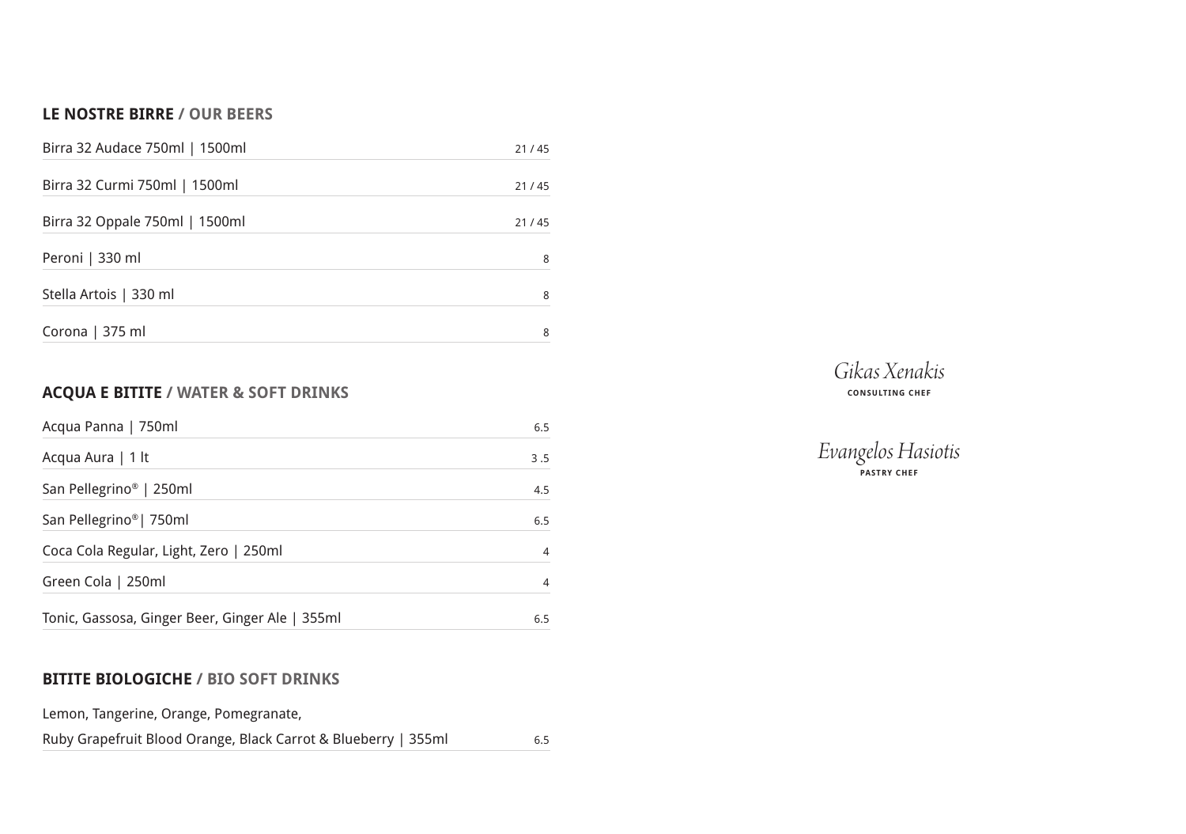# **LE NOSTRE BIRRE / OUR BEERS**

| Birra 32 Audace 750ml   1500ml | 21/45 |
|--------------------------------|-------|
| Birra 32 Curmi 750ml   1500ml  | 21/45 |
| Birra 32 Oppale 750ml   1500ml | 21/45 |
| Peroni   330 ml                | 8     |
| Stella Artois   330 ml         | 8     |
| Corona   375 ml                | 8     |

# **ACQUA E BITITE / WATER & SOFT DRINKS**

| Acqua Panna   750ml                             | 6.5            |
|-------------------------------------------------|----------------|
| Acqua Aura   1 lt                               | 3.5            |
| San Pellegrino <sup>®</sup>   250ml             | 4.5            |
| San Pellegrino <sup>®</sup>   750ml             | 6.5            |
| Coca Cola Regular, Light, Zero   250ml          | $\overline{4}$ |
| Green Cola   250ml                              | $\overline{4}$ |
| Tonic, Gassosa, Ginger Beer, Ginger Ale   355ml | 6.5            |

# **BITITE BIOLOGICHE / BIO SOFT DRINKS**

Lemon, Tangerine, Orange, Pomegranate,

Ruby Grapefruit Blood Orange, Black Carrot & Blueberry | 355ml 6.5



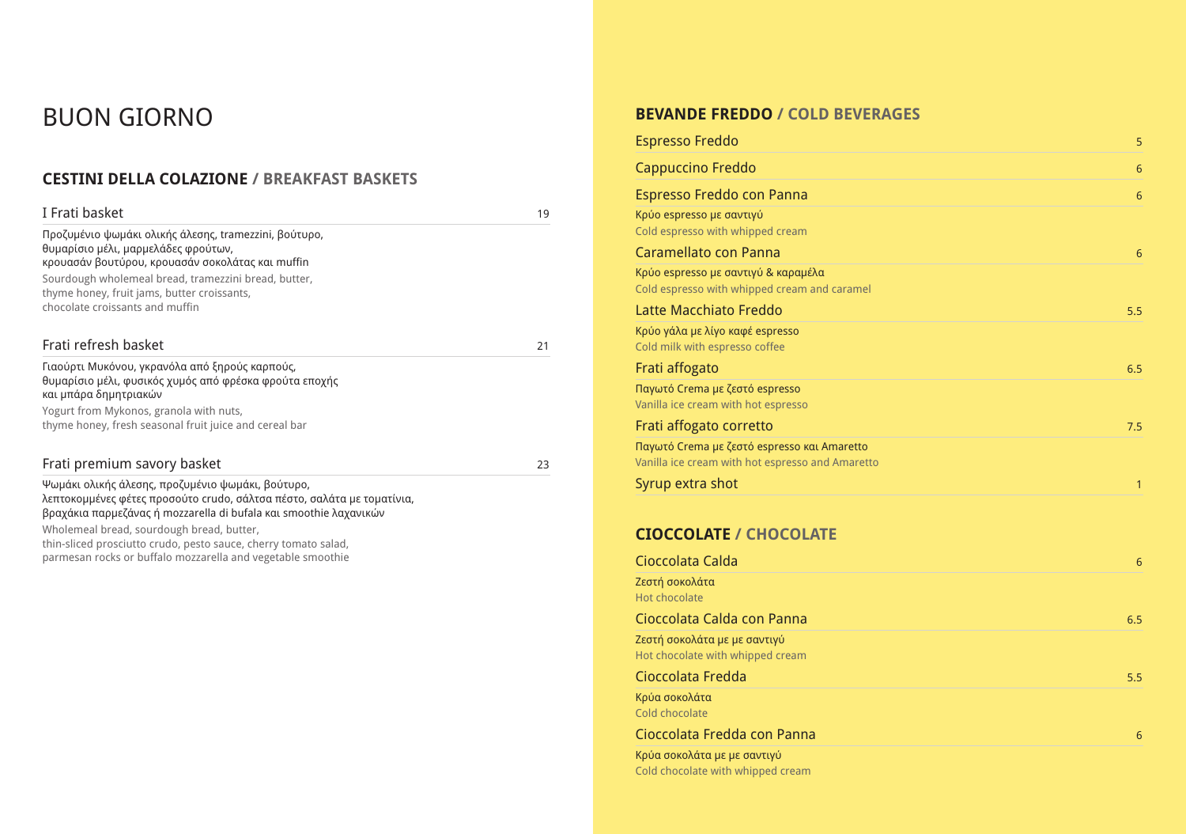# **CESTINI DELLA COLAZIONE / BREAKFAST BASKETS**

| I Frati basket                                                                                                                                                                                                                                                                             | 19 |
|--------------------------------------------------------------------------------------------------------------------------------------------------------------------------------------------------------------------------------------------------------------------------------------------|----|
| Προζυμένιο ψωμάκι ολικής άλεσης, tramezzini, βούτυρο,<br>θυμαρίσιο μέλι, μαρμελάδες φρούτων,<br>κρουασάν βουτύρου, κρουασάν σοκολάτας και muffin<br>Sourdough wholemeal bread, tramezzini bread, butter,<br>thyme honey, fruit jams, butter croissants,<br>chocolate croissants and muffin |    |
| Frati refresh basket                                                                                                                                                                                                                                                                       | 21 |
| Γιαούρτι Μυκόνου, γκρανόλα από ξηρούς καρπούς,<br>θυμαρίσιο μέλι, φυσικός χυμός από φρέσκα φρούτα εποχής<br>και μπάρα δημητριακών                                                                                                                                                          |    |
| Yogurt from Mykonos, granola with nuts,                                                                                                                                                                                                                                                    |    |
| thyme honey, fresh seasonal fruit juice and cereal bar                                                                                                                                                                                                                                     |    |
| Frati premium savory basket                                                                                                                                                                                                                                                                | 23 |
| Ψωμάκι ολικής άλεσης, προζυμένιο ψωμάκι, βούτυρο,<br>λεπτοκομμένες φέτες προσούτο crudo, σάλτσα πέστο, σαλάτα με τοματίνια,<br>βραχάκια παρμεζάνας ή mozzarella di bufala και smoothie λαχανικών<br>Wholemeal bread, sourdough bread, butter,                                              |    |

Latte Macchiato Freddo Kρύο γάλα με λίγο καφέ espresso Cold milk with espresso coffee

Frati affogato Παγωτό Crema με ζεστό espresso

thin-sliced prosciutto crudo, pesto sauce, cherry tomato salad, parmesan rocks or buffalo mozzarella and vegetable smoothie

# BUON GIORNO **BEVANDE FREDDO / COLD BEVERAGES**

Espresso Freddo 5

Cappuccino Freddo 6

Espresso Freddo con Panna 6

Kρύο espresso με σαντιγύ Cold espresso with whipped cream

Caramellato con Panna 6

Kρύο espresso με σαντιγύ & καραμέλα Cold espresso with whipped cream and caramel

Vanilla ice cream with hot espresso

Frati affogato corretto

Παγωτό Crema με ζεστό espresso και Amaretto Vanilla ice cream with hot espresso and Amaretto

Syrup extra shot 1

# **CIOCCOLATE / CHOCOLATE**

Cioccolata Calda 6

Ζεστή σοκολάτα Hot chocolate

#### Cioccolata Calda con Panna 6.5

Ζεστή σοκολάτα με με σαντιγύ Hot chocolate with whipped cream

Cioccolata Fredda 5.5

Κρύα σοκολάτα Cold chocolate

Cioccolata Fredda con Panna 6 Κρύα σοκολάτα με με σαντιγύ Cold chocolate with whipped cream

| 5              |
|----------------|
| $\overline{6}$ |
| $\overline{6}$ |
|                |
|                |
| $\overline{6}$ |
|                |
| 5.5            |
|                |
|                |
| 6.5            |
|                |
| 7.5            |
|                |
|                |
| $\overline{1}$ |
|                |
|                |
| $\overline{6}$ |
|                |
| 6.5            |
|                |
|                |
| 5.5            |
|                |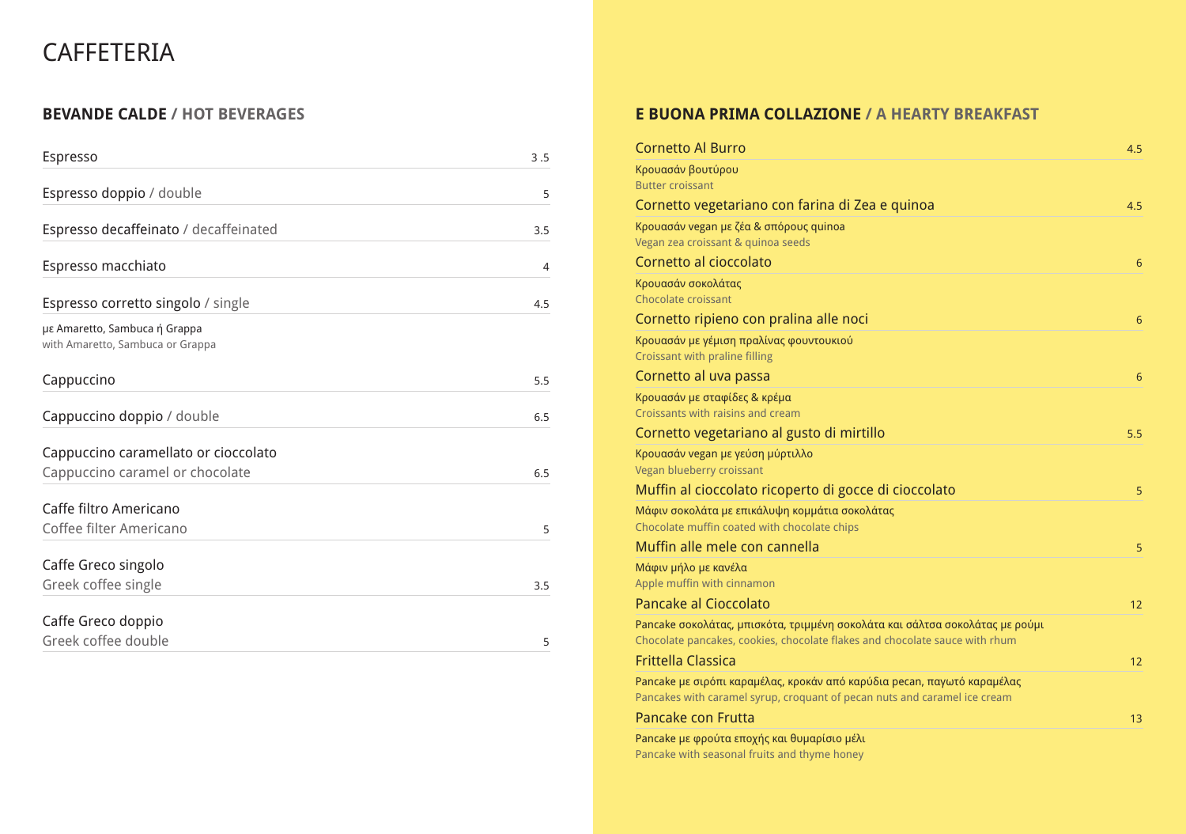# **CAFFETERIA**

# **BEVANDE CALDE / HOT BEVERAGES**

| Espresso                                                                | 3.5            |
|-------------------------------------------------------------------------|----------------|
| Espresso doppio / double                                                | 5              |
| Espresso decaffeinato / decaffeinated                                   | 3.5            |
| Espresso macchiato                                                      | $\overline{4}$ |
| Espresso corretto singolo / single                                      | 4.5            |
| με Amaretto, Sambuca ή Grappa<br>with Amaretto, Sambuca or Grappa       |                |
| Cappuccino                                                              | 5.5            |
| Cappuccino doppio / double                                              | 6.5            |
| Cappuccino caramellato or cioccolato<br>Cappuccino caramel or chocolate | 6.5            |
| Caffe filtro Americano                                                  |                |
| Coffee filter Americano                                                 | 5              |
| Caffe Greco singolo<br>Greek coffee single                              | 3.5            |
| Caffe Greco doppio<br>Greek coffee double                               | 5              |

| <b>Cornetto Al Burro</b>                                                                                                                             | 4.5             |
|------------------------------------------------------------------------------------------------------------------------------------------------------|-----------------|
| Κρουασάν βουτύρου                                                                                                                                    |                 |
| <b>Butter croissant</b>                                                                                                                              |                 |
| Cornetto vegetariano con farina di Zea e quinoa                                                                                                      | 4.5             |
| Κρουασάν vegan με ζέα & σπόρους quinoa                                                                                                               |                 |
| Vegan zea croissant & quinoa seeds                                                                                                                   |                 |
| Cornetto al cioccolato                                                                                                                               | $\overline{6}$  |
| Κρουασάν σοκολάτας<br><b>Chocolate croissant</b>                                                                                                     |                 |
| Cornetto ripieno con pralina alle noci                                                                                                               | 6               |
| Κρουασάν με γέμιση πραλίνας φουντουκιού<br><b>Croissant with praline filling</b>                                                                     |                 |
| Cornetto al uva passa                                                                                                                                | $6\phantom{1}6$ |
| Κρουασάν με σταφίδες & κρέμα                                                                                                                         |                 |
| Croissants with raisins and cream                                                                                                                    |                 |
| Cornetto vegetariano al gusto di mirtillo                                                                                                            | 5.5             |
| Κρουασάν vegan με γεύση μύρτιλλο                                                                                                                     |                 |
| Vegan blueberry croissant                                                                                                                            |                 |
| Muffin al cioccolato ricoperto di gocce di cioccolato                                                                                                | 5               |
| Μάφιν σοκολάτα με επικάλυψη κομμάτια σοκολάτας<br>Chocolate muffin coated with chocolate chips                                                       |                 |
| Muffin alle mele con cannella                                                                                                                        | 5               |
| Μάφιν μήλο με κανέλα                                                                                                                                 |                 |
| Apple muffin with cinnamon                                                                                                                           |                 |
| <b>Pancake al Cioccolato</b>                                                                                                                         | 12              |
| Pancake σοκολάτας, μπισκότα, τριμμένη σοκολάτα και σάλτσα σοκολάτας με ρούμι                                                                         |                 |
| Chocolate pancakes, cookies, chocolate flakes and chocolate sauce with rhum                                                                          |                 |
| <b>Frittella Classica</b>                                                                                                                            | 12              |
| Pancake με σιρόπι καραμέλας, κροκάν από καρύδια pecan, παγωτό καραμέλας<br>Pancakes with caramel syrup, croquant of pecan nuts and caramel ice cream |                 |
| <b>Pancake con Frutta</b>                                                                                                                            | 13              |

# **E BUONA PRIMA COLLAZIONE / A HEARTY BREAKFAST**

Pancake με φρούτα εποχής και θυμαρίσιο μέλι Pancake with seasonal fruits and thyme honey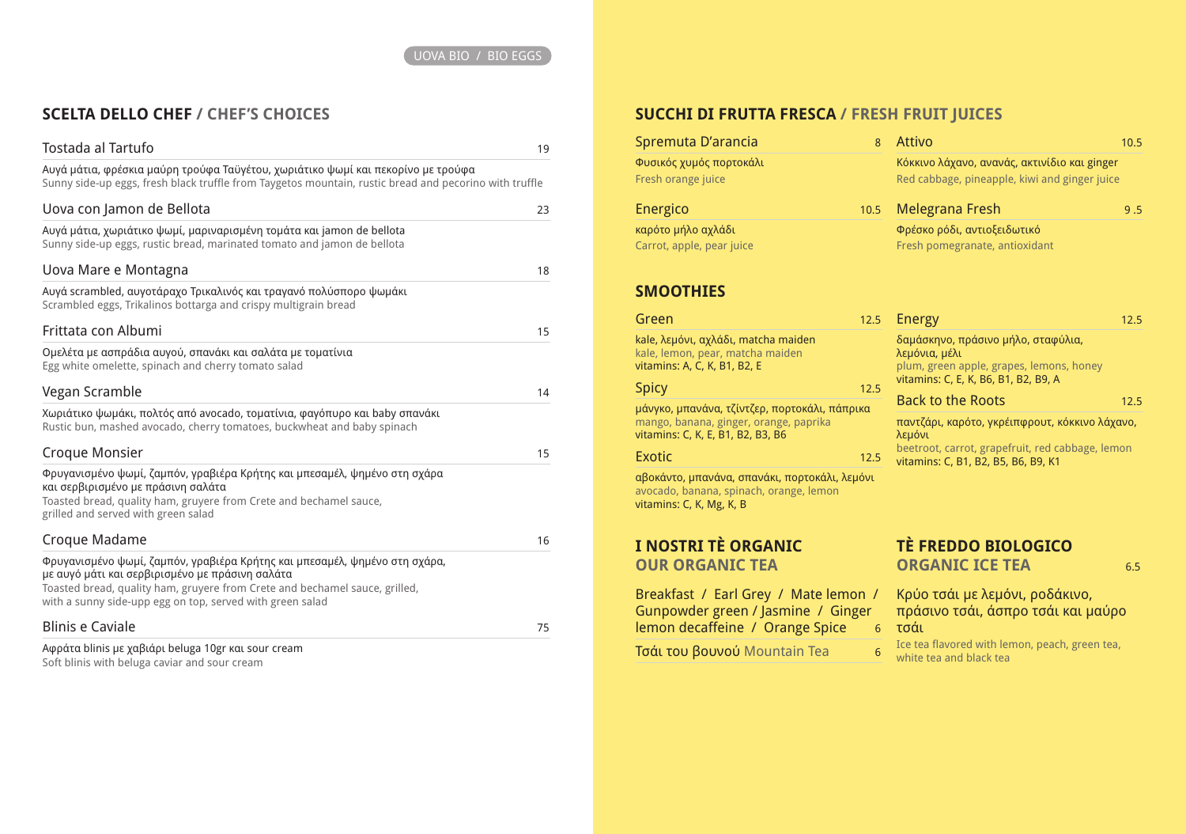# **SCELTA DELLO CHEF / CHEF'S CHOICES**

| Tostada al Tartufo                                                                                                                                                                                                                                                        | 19 |
|---------------------------------------------------------------------------------------------------------------------------------------------------------------------------------------------------------------------------------------------------------------------------|----|
| Αυγά μάτια, φρέσκια μαύρη τρούφα Ταϋγέτου, χωριάτικο ψωμί και πεκορίνο με τρούφα<br>Sunny side-up eggs, fresh black truffle from Taygetos mountain, rustic bread and pecorino with truffle                                                                                |    |
| Uova con Jamon de Bellota                                                                                                                                                                                                                                                 | 23 |
| Αυγά μάτια, χωριάτικο ψωμί, μαριναρισμένη τομάτα και jamon de bellota<br>Sunny side-up eggs, rustic bread, marinated tomato and jamon de bellota                                                                                                                          |    |
| Uova Mare e Montagna                                                                                                                                                                                                                                                      | 18 |
| Aυγά scrambled, αυγοτάραχο Τρικαλινός και τραγανό πολύσπορο ψωμάκι<br>Scrambled eggs, Trikalinos bottarga and crispy multigrain bread                                                                                                                                     |    |
| Frittata con Albumi                                                                                                                                                                                                                                                       | 15 |
| Ομελέτα με ασπράδια αυγού, σπανάκι και σαλάτα με τοματίνια<br>Egg white omelette, spinach and cherry tomato salad                                                                                                                                                         |    |
| Vegan Scramble                                                                                                                                                                                                                                                            | 14 |
| Χωριάτικο ψωμάκι, πολτός από avocado, τοματίνια, φαγόπυρο και baby σπανάκι<br>Rustic bun, mashed avocado, cherry tomatoes, buckwheat and baby spinach                                                                                                                     |    |
| <b>Croque Monsier</b>                                                                                                                                                                                                                                                     | 15 |
| Φρυγανισμένο ψωμί, ζαμπόν, γραβιέρα Κρήτης και μπεσαμέλ, ψημένο στη σχάρα<br>και σερβιρισμένο με πράσινη σαλάτα<br>Toasted bread, quality ham, gruyere from Crete and bechamel sauce,<br>grilled and served with green salad                                              |    |
| Croque Madame                                                                                                                                                                                                                                                             | 16 |
| Φρυγανισμένο ψωμί, ζαμπόν, γραβιέρα Κρήτης και μπεσαμέλ, ψημένο στη σχάρα,<br>με αυγό μάτι και σερβιρισμένο με πράσινη σαλάτα<br>Toasted bread, quality ham, gruyere from Crete and bechamel sauce, grilled,<br>with a sunny side-upp egg on top, served with green salad |    |
| <b>Blinis e Caviale</b>                                                                                                                                                                                                                                                   | 75 |
| Αφράτα blinis με χαβιάρι beluga 10gr και sour cream                                                                                                                                                                                                                       |    |

Breakfast / Earl Grey / Mate lemon / Gunpowder green / Jasmine / Ginger lemon decaffeine / Orange Spice *δ* τσάι

Tσάι του βουνού Mountain Tea 6

# **TÈ FREDDO BIOLOGICO ORGANIC ICE TEA** 6.5

Ice tea flavored with lemon, peach, green tea, white tea and black tea

Soft blinis with beluga caviar and sour cream

# **SUCCHI DI FRUTTA FRESCA / FRESH FRUIT JUICES**

| Spremuta D'arancia                                                                                                           | 8    |
|------------------------------------------------------------------------------------------------------------------------------|------|
| Φυσικός χυμός πορτοκάλι<br>Fresh orange juice                                                                                |      |
| <b>Energico</b>                                                                                                              | 10.5 |
| καρότο μήλο αχλάδι<br>Carrot, apple, pear juice                                                                              |      |
| <b>SMOOTHIES</b>                                                                                                             |      |
| Green                                                                                                                        | 12.5 |
| kale, λεμόνι, αχλάδι, matcha maiden<br>kale, lemon, pear, matcha maiden<br>vitamins: A, C, K, B1, B2, E                      |      |
| <b>Spicy</b>                                                                                                                 | 12.5 |
| μάνγκο, μπανάνα, τζίντζερ, πορτοκάλι, πάπρικα<br>mango, banana, ginger, orange, paprika<br>vitamins: C, K, E, B1, B2, B3, B6 |      |
| <b>Exotic</b>                                                                                                                | 12.5 |
| αβοκάντο, μπανάνα, σπανάκι, πορτοκάλι, λεμόνι<br>avocado, banana, spinach, orange, lemon<br>vitamins: C, K, Mg, K, B         |      |
| I NOSTRI TÈ ORGANIC                                                                                                          |      |

| Attivo                                                                                                                                              | 10.5 |
|-----------------------------------------------------------------------------------------------------------------------------------------------------|------|
| Κόκκινο λάχανο, ανανάς, ακτινίδιο και ginger<br>Red cabbage, pineapple, kiwi and ginger juice                                                       |      |
| Melegrana Fresh                                                                                                                                     | 9.5  |
| Φρέσκο ρόδι, αντιοξειδωτικό<br>Fresh pomegranate, antioxidant                                                                                       |      |
| <b>Energy</b>                                                                                                                                       | 12.5 |
| δαμάσκηνο, πράσινο μήλο, σταφύλια,<br>λεμόνια, μέλι<br>plum, green apple, grapes, lemons, honey<br>vitamins: C, E, K, B6, B1, B2, B9, A             |      |
| <b>Back to the Roots</b>                                                                                                                            | 12.5 |
| παντζάρι, καρότο, γκρέιπφρουτ, κόκκινο λάχανο,<br>λεμόνι<br>beetroot, carrot, grapefruit, red cabbage, lemon<br>vitamins: C, B1, B2, B5, B6, B9, K1 |      |

**OUR ORGANIC TEA**

Kρύo τσάι με λεμόνι, ροδάκινο, πράσινο τσάι, άσπρο τσάι και μαύρο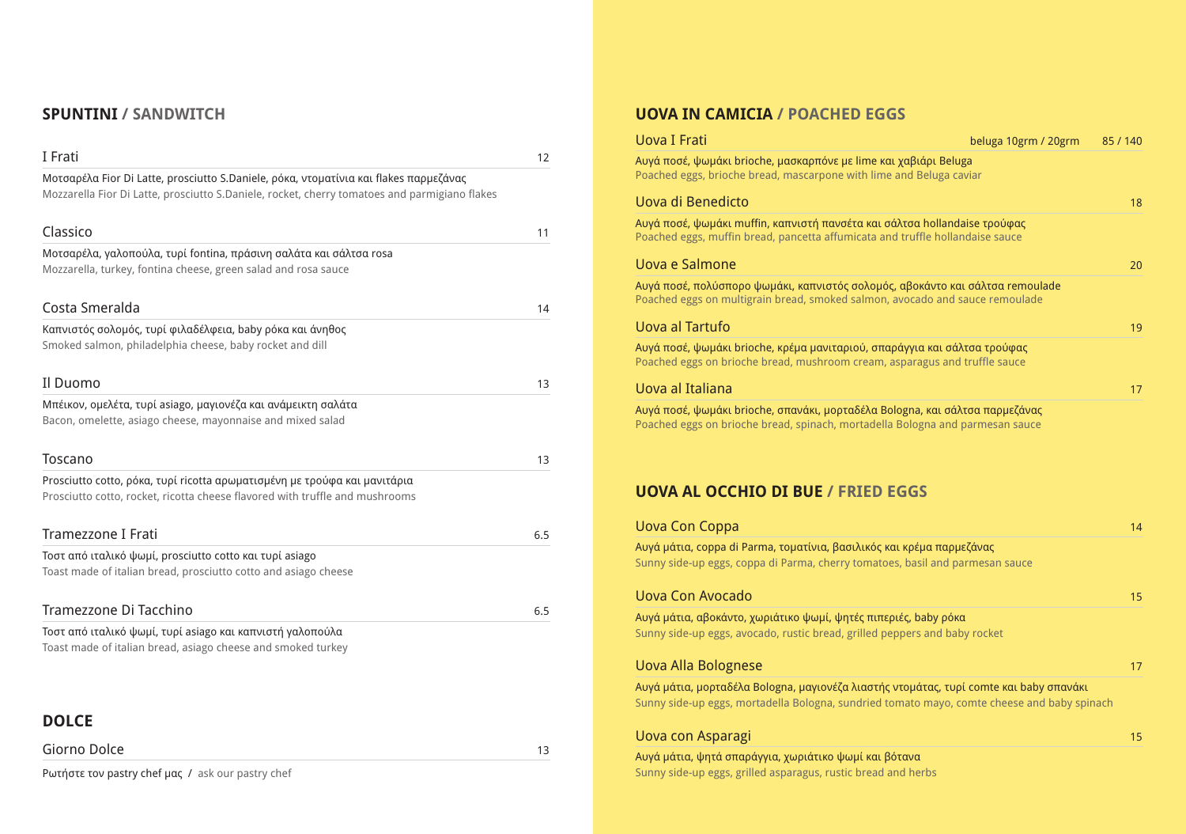# **SPUNTINI / SANDWITCH**

| I Frati                                                                                                                                                                                | 12  |
|----------------------------------------------------------------------------------------------------------------------------------------------------------------------------------------|-----|
| Μοτσαρέλα Fior Di Latte, prosciutto S.Daniele, ρόκα, ντοματίνια και flakes παρμεζάνας<br>Mozzarella Fior Di Latte, prosciutto S.Daniele, rocket, cherry tomatoes and parmigiano flakes |     |
| Classico                                                                                                                                                                               | 11  |
| Μοτσαρέλα, γαλοπούλα, τυρί fontina, πράσινη σαλάτα και σάλτσα rosa                                                                                                                     |     |
| Mozzarella, turkey, fontina cheese, green salad and rosa sauce                                                                                                                         |     |
| Costa Smeralda                                                                                                                                                                         | 14  |
| Καπνιστός σολομός, τυρί φιλαδέλφεια, baby ρόκα και άνηθος                                                                                                                              |     |
| Smoked salmon, philadelphia cheese, baby rocket and dill                                                                                                                               |     |
| Il Duomo                                                                                                                                                                               | 13  |
| Μπέικον, ομελέτα, τυρί asiago, μαγιονέζα και ανάμεικτη σαλάτα                                                                                                                          |     |
| Bacon, omelette, asiago cheese, mayonnaise and mixed salad                                                                                                                             |     |
|                                                                                                                                                                                        |     |
| <b>Toscano</b>                                                                                                                                                                         | 13  |
| Prosciutto cotto, ρόκα, τυρί ricotta αρωματισμένη με τρούφα και μανιτάρια                                                                                                              |     |
| Prosciutto cotto, rocket, ricotta cheese flavored with truffle and mushrooms                                                                                                           |     |
|                                                                                                                                                                                        |     |
| Tramezzone I Frati                                                                                                                                                                     | 6.5 |
| Τοστ από ιταλικό ψωμί, prosciutto cotto και τυρί asiago                                                                                                                                |     |
| Toast made of italian bread, prosciutto cotto and asiago cheese                                                                                                                        |     |
| Tramezzone Di Tacchino                                                                                                                                                                 | 6.5 |
| Toστ από ιταλικό ψωμί, τυρί asiago και καπνιστή γαλοπούλα                                                                                                                              |     |
| Toast made of italian bread, asiago cheese and smoked turkey                                                                                                                           |     |
|                                                                                                                                                                                        |     |
|                                                                                                                                                                                        |     |
| <b>DOLCE</b>                                                                                                                                                                           |     |

| Giorno Dolce |  |  |  | . . |
|--------------|--|--|--|-----|
|              |  |  |  |     |

Ρωτήστε τον pastry chef μας / ask our pastry chef

# **UOVA IN CAMICIA / POACHED EGGS**

#### Uova I Frati

Αυγά ποσέ, ψωμάκι brioche, μασκαρπόνε με lime και Poached eggs, brioche bread, mascarpone with lime

#### Uova di Benedicto 18

Αυγά ποσέ, ψωμάκι muffin, καπνιστή πανσέτα και σά Poached eggs, muffin bread, pancetta affumicata and

#### Uova e Salmone

Αυγά ποσέ, πολύσπορο ψωμάκι, καπνιστός σολομός, Poached eggs on multigrain bread, smoked salmon, a

### Uova al Tartufo 19

Αυγά ποσέ, ψωμάκι brioche, κρέμα μανιταριού, σπαρ Poached eggs on brioche bread, mushroom cream, as

### Uova al Italiana 17

Αυγά ποσέ, ψωμάκι brioche, σπανάκι, μορταδέλα Bol Poached eggs on brioche bread, spinach, mortadella

# **UOVA AL OCCHIO DI BUE / FRIED EGGS**

### Uova Con Coppa 14

Αυγά μάτια, coppa di Parma, τοματίνια, βασιλικός και Sunny side-up eggs, coppa di Parma, cherry tomatoes

### Uova Con Avocado 15

Αυγά μάτια, αβοκάντο, χωριάτικο ψωμί, ψητές πιπερι Sunny side-up eggs, avocado, rustic bread, grilled pep

#### Uova Alla Bolognese 17

Αυγά μάτια, μορταδέλα Bologna, μαγιονέζα λιαστής ν Sunny side-up eggs, mortadella Bologna, sundried tor

### Uova con Asparagi

Αυγά μάτια, ψητά σπαράγγια, χωριάτικο ψωμί και βότανα Sunny side-up eggs, grilled asparagus, rustic bread and herbs

| beluga 10grm / 20grm                                                             | 85 / 140 |
|----------------------------------------------------------------------------------|----------|
| χαβιάρι Beluga<br>and Beluga caviar                                              |          |
|                                                                                  | 18       |
| λτσα hollandaise τρούφας<br>I truffle hollandaise sauce                          |          |
|                                                                                  | 20       |
| αβοκάντο και σάλτσα remoulade<br>vocado and sauce remoulade                      |          |
|                                                                                  | 19       |
| άγγια και σάλτσα τρούφας<br>sparagus and truffle sauce                           |          |
|                                                                                  | 17       |
| ogna, και σάλτσα παρμεζάνας<br><b>Bologna and parmesan sauce</b>                 |          |
| GGS                                                                              |          |
|                                                                                  | 14       |
| ι κρέμα παρμεζάνας<br>s, basil and parmesan sauce                                |          |
|                                                                                  | 15       |
| ιές, baby ρόκα<br>pers and baby rocket                                           |          |
|                                                                                  | 17       |
| τομάτας, τυρί comte και baby σπανάκι<br>mato mayo, comte cheese and baby spinach |          |
|                                                                                  | 15       |
|                                                                                  |          |